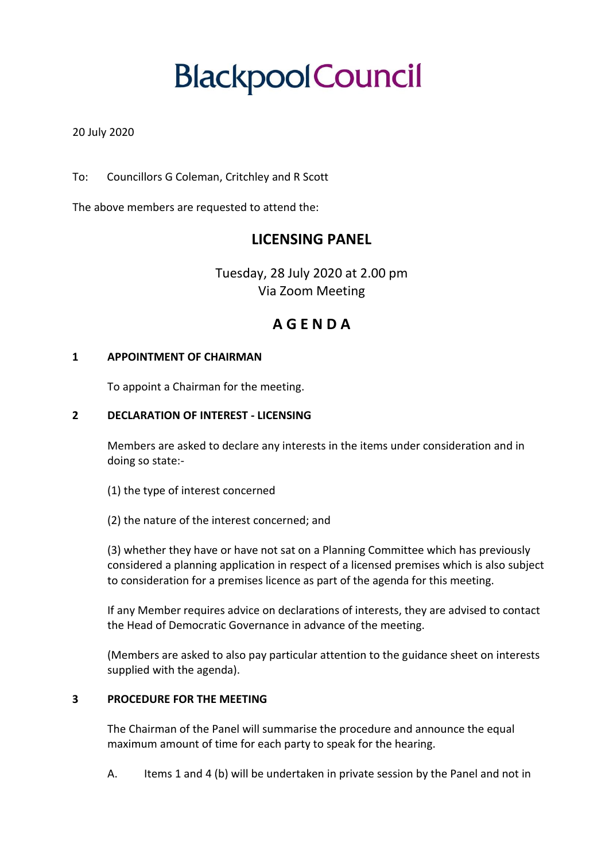# **Blackpool Council**

## 20 July 2020

To: Councillors G Coleman, Critchley and R Scott

The above members are requested to attend the:

# **LICENSING PANEL**

Tuesday, 28 July 2020 at 2.00 pm Via Zoom Meeting

# **A G E N D A**

#### **1 APPOINTMENT OF CHAIRMAN**

To appoint a Chairman for the meeting.

#### **2 DECLARATION OF INTEREST - LICENSING**

Members are asked to declare any interests in the items under consideration and in doing so state:-

- (1) the type of interest concerned
- (2) the nature of the interest concerned; and

(3) whether they have or have not sat on a Planning Committee which has previously considered a planning application in respect of a licensed premises which is also subject to consideration for a premises licence as part of the agenda for this meeting.

If any Member requires advice on declarations of interests, they are advised to contact the Head of Democratic Governance in advance of the meeting.

(Members are asked to also pay particular attention to the guidance sheet on interests supplied with the agenda).

#### **3 PROCEDURE FOR THE MEETING**

The Chairman of the Panel will summarise the procedure and announce the equal maximum amount of time for each party to speak for the hearing.

A. Items 1 and 4 (b) will be undertaken in private session by the Panel and not in